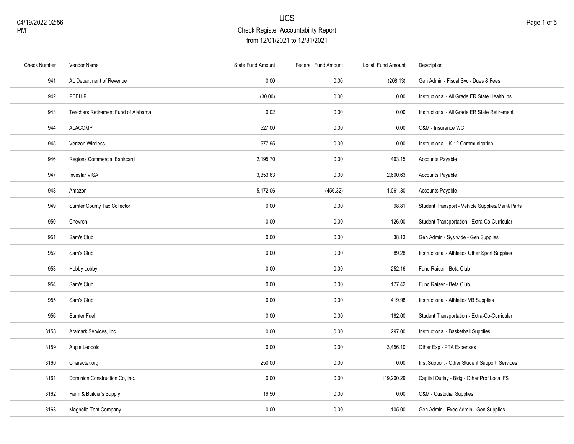| <b>Check Number</b> | Vendor Name                         | State Fund Amount | Federal Fund Amount | Local Fund Amount | Description                                      |
|---------------------|-------------------------------------|-------------------|---------------------|-------------------|--------------------------------------------------|
| 941                 | AL Department of Revenue            | 0.00              | 0.00                | (208.13)          | Gen Admin - Fiscal Svc - Dues & Fees             |
| 942                 | PEEHIP                              | (30.00)           | 0.00                | 0.00              | Instructional - All Grade ER State Health Ins    |
| 943                 | Teachers Retirement Fund of Alabama | 0.02              | $0.00\,$            | 0.00              | Instructional - All Grade ER State Retirement    |
| 944                 | <b>ALACOMP</b>                      | 527.00            | 0.00                | 0.00              | O&M - Insurance WC                               |
| 945                 | Verizon Wireless                    | 577.95            | 0.00                | 0.00              | Instructional - K-12 Communication               |
| 946                 | Regions Commercial Bankcard         | 2,195.70          | 0.00                | 463.15            | Accounts Payable                                 |
| 947                 | <b>Investar VISA</b>                | 3,353.63          | 0.00                | 2,600.63          | Accounts Payable                                 |
| 948                 | Amazon                              | 5,172.06          | (456.32)            | 1,061.30          | Accounts Payable                                 |
| 949                 | Sumter County Tax Collector         | 0.00              | 0.00                | 98.81             | Student Transport - Vehicle Supplies/Maint/Parts |
| 950                 | Chevron                             | 0.00              | 0.00                | 126.00            | Student Transportation - Extra-Co-Curricular     |
| 951                 | Sam's Club                          | 0.00              | 0.00                | 38.13             | Gen Admin - Sys wide - Gen Supplies              |
| 952                 | Sam's Club                          | 0.00              | 0.00                | 89.28             | Instructional - Athletics Other Sport Supplies   |
| 953                 | Hobby Lobby                         | 0.00              | 0.00                | 252.16            | Fund Raiser - Beta Club                          |
| 954                 | Sam's Club                          | 0.00              | 0.00                | 177.42            | Fund Raiser - Beta Club                          |
| 955                 | Sam's Club                          | 0.00              | 0.00                | 419.98            | Instructional - Athletics VB Supplies            |
| 956                 | Sumter Fuel                         | 0.00              | 0.00                | 182.00            | Student Transportation - Extra-Co-Curricular     |
| 3158                | Aramark Services, Inc.              | 0.00              | 0.00                | 297.00            | Instructional - Basketball Supplies              |
| 3159                | Augie Leopold                       | 0.00              | 0.00                | 3,456.10          | Other Exp - PTA Expenses                         |
| 3160                | Character.org                       | 250.00            | 0.00                | 0.00              | Inst Support - Other Student Support Services    |
| 3161                | Dominion Construction Co. Inc.      | 0.00              | 0.00                | 119,200.29        | Capital Outlay - Bldg - Other Prof Local FS      |
| 3162                | Farm & Builder's Supply             | 19.50             | 0.00                | 0.00              | O&M - Custodial Supplies                         |
| 3163                | Magnolia Tent Company               | 0.00              | 0.00                | 105.00            | Gen Admin - Exec Admin - Gen Supplies            |
|                     |                                     |                   |                     |                   |                                                  |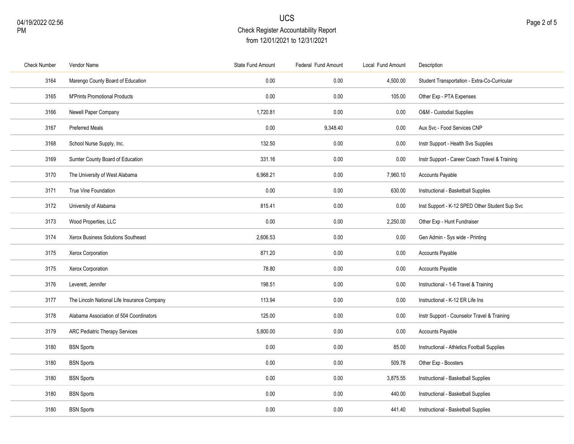| <b>Check Number</b> | Vendor Name                                 | State Fund Amount | Federal Fund Amount | Local Fund Amount | Description                                    |
|---------------------|---------------------------------------------|-------------------|---------------------|-------------------|------------------------------------------------|
| 3164                | Marengo County Board of Education           | 0.00              | 0.00                | 4,500.00          | Student Transportation - Extra-Co-Curricular   |
| 3165                | <b>M'Prints Promotional Products</b>        | 0.00              | 0.00                | 105.00            | Other Exp - PTA Expenses                       |
| 3166                | Newell Paper Company                        | 1,720.81          | 0.00                | 0.00              | O&M - Custodial Supplies                       |
| 3167                | <b>Preferred Meals</b>                      | 0.00              | 9,348.40            | 0.00              | Aux Svc - Food Services CNP                    |
| 3168                | School Nurse Supply, Inc.                   | 132.50            | 0.00                | 0.00              | Instr Support - Health Svs Supplies            |
| 3169                | Sumter County Board of Education            | 331.16            | 0.00                | 0.00              | Instr Support - Career Coach Travel & Training |
| 3170                | The University of West Alabama              | 6,968.21          | 0.00                | 7,960.10          | <b>Accounts Payable</b>                        |
| 3171                | True Vine Foundation                        | 0.00              | 0.00                | 630.00            | Instructional - Basketball Supplies            |
| 3172                | University of Alabama                       | 815.41            | 0.00                | 0.00              | Inst Support - K-12 SPED Other Student Sup Svc |
| 3173                | Wood Properties, LLC                        | 0.00              | 0.00                | 2,250.00          | Other Exp - Hunt Fundraiser                    |
| 3174                | Xerox Business Solutions Southeast          | 2,606.53          | 0.00                | 0.00              | Gen Admin - Sys wide - Printing                |
| 3175                | Xerox Corporation                           | 871.20            | 0.00                | 0.00              | Accounts Payable                               |
| 3175                | Xerox Corporation                           | 78.80             | 0.00                | 0.00              | Accounts Payable                               |
| 3176                | Leverett, Jennifer                          | 198.51            | 0.00                | 0.00              | Instructional - 1-6 Travel & Training          |
| 3177                | The Lincoln National Life Insurance Company | 113.94            | 0.00                | 0.00              | Instructional - K-12 ER Life Ins               |
| 3178                | Alabama Association of 504 Coordinators     | 125.00            | 0.00                | 0.00              | Instr Support - Counselor Travel & Training    |
| 3179                | <b>ARC Pediatric Therapy Services</b>       | 5,800.00          | 0.00                | 0.00              | <b>Accounts Payable</b>                        |
| 3180                | <b>BSN Sports</b>                           | 0.00              | 0.00                | 85.00             | Instructional - Athletics Football Supplies    |
| 3180                | <b>BSN Sports</b>                           | 0.00              | 0.00                | 509.78            | Other Exp - Boosters                           |
| 3180                | <b>BSN Sports</b>                           | 0.00              | 0.00                | 3,875.55          | Instructional - Basketball Supplies            |
| 3180                | <b>BSN Sports</b>                           | 0.00              | 0.00                | 440.00            | Instructional - Basketball Supplies            |
| 3180                | <b>BSN Sports</b>                           | 0.00              | 0.00                | 441.40            | Instructional - Basketball Supplies            |
|                     |                                             |                   |                     |                   |                                                |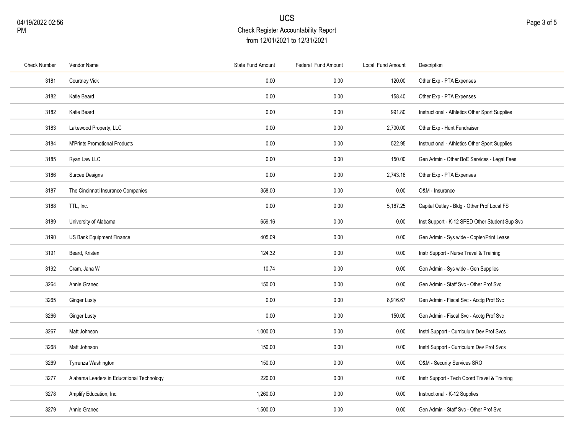| <b>Check Number</b> | Vendor Name                               | State Fund Amount | Federal Fund Amount | Local Fund Amount | Description                                    |
|---------------------|-------------------------------------------|-------------------|---------------------|-------------------|------------------------------------------------|
| 3181                | Courtney Vick                             | 0.00              | 0.00                | 120.00            | Other Exp - PTA Expenses                       |
| 3182                | Katie Beard                               | 0.00              | 0.00                | 158.40            | Other Exp - PTA Expenses                       |
| 3182                | Katie Beard                               | 0.00              | 0.00                | 991.80            | Instructional - Athletics Other Sport Supplies |
| 3183                | Lakewood Property, LLC                    | 0.00              | 0.00                | 2,700.00          | Other Exp - Hunt Fundraiser                    |
| 3184                | <b>M'Prints Promotional Products</b>      | 0.00              | 0.00                | 522.95            | Instructional - Athletics Other Sport Supplies |
| 3185                | Ryan Law LLC                              | 0.00              | 0.00                | 150.00            | Gen Admin - Other BoE Services - Legal Fees    |
| 3186                | Surcee Designs                            | 0.00              | 0.00                | 2,743.16          | Other Exp - PTA Expenses                       |
| 3187                | The Cincinnati Insurance Companies        | 358.00            | 0.00                | 0.00              | O&M - Insurance                                |
| 3188                | TTL, Inc.                                 | 0.00              | 0.00                | 5,187.25          | Capital Outlay - Bldg - Other Prof Local FS    |
| 3189                | University of Alabama                     | 659.16            | 0.00                | 0.00              | Inst Support - K-12 SPED Other Student Sup Svc |
| 3190                | US Bank Equipment Finance                 | 405.09            | 0.00                | 0.00              | Gen Admin - Sys wide - Copier/Print Lease      |
| 3191                | Beard, Kristen                            | 124.32            | 0.00                | 0.00              | Instr Support - Nurse Travel & Training        |
| 3192                | Cram, Jana W                              | 10.74             | 0.00                | 0.00              | Gen Admin - Sys wide - Gen Supplies            |
| 3264                | Annie Granec                              | 150.00            | 0.00                | 0.00              | Gen Admin - Staff Svc - Other Prof Svc         |
| 3265                | Ginger Lusty                              | 0.00              | 0.00                | 8,916.67          | Gen Admin - Fiscal Svc - Acctg Prof Svc        |
| 3266                | <b>Ginger Lusty</b>                       | 0.00              | 0.00                | 150.00            | Gen Admin - Fiscal Svc - Acctg Prof Svc        |
| 3267                | Matt Johnson                              | 1,000.00          | 0.00                | 0.00              | Instrl Support - Curriculum Dev Prof Svcs      |
| 3268                | Matt Johnson                              | 150.00            | 0.00                | 0.00              | Instrl Support - Curriculum Dev Prof Svcs      |
| 3269                | Tyrrenza Washington                       | 150.00            | 0.00                | 0.00              | O&M - Security Services SRO                    |
| 3277                | Alabama Leaders in Educational Technology | 220.00            | 0.00                | 0.00              | Instr Support - Tech Coord Travel & Training   |
| 3278                | Amplify Education, Inc.                   | 1,260.00          | 0.00                | 0.00              | Instructional - K-12 Supplies                  |
| 3279                | Annie Granec                              | 1,500.00          | 0.00                | 0.00              | Gen Admin - Staff Svc - Other Prof Svc         |
|                     |                                           |                   |                     |                   |                                                |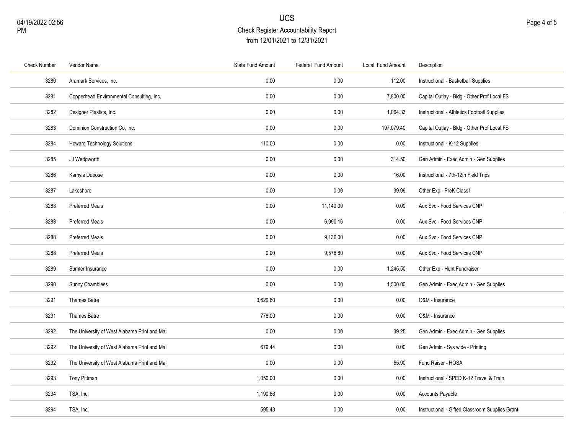| <b>Check Number</b> | Vendor Name                                   | State Fund Amount | Federal Fund Amount | Local Fund Amount | Description                                     |
|---------------------|-----------------------------------------------|-------------------|---------------------|-------------------|-------------------------------------------------|
| 3280                | Aramark Services, Inc.                        | 0.00              | 0.00                | 112.00            | Instructional - Basketball Supplies             |
| 3281                | Copperhead Environmental Consulting, Inc.     | 0.00              | 0.00                | 7,800.00          | Capital Outlay - Bldg - Other Prof Local FS     |
| 3282                | Designer Plastics, Inc.                       | 0.00              | 0.00                | 1,064.33          | Instructional - Athletics Football Supplies     |
| 3283                | Dominion Construction Co. Inc.                | 0.00              | 0.00                | 197,079.40        | Capital Outlay - Bldg - Other Prof Local FS     |
| 3284                | <b>Howard Technology Solutions</b>            | 110.00            | 0.00                | $0.00\,$          | Instructional - K-12 Supplies                   |
| 3285                | JJ Wedgworth                                  | 0.00              | 0.00                | 314.50            | Gen Admin - Exec Admin - Gen Supplies           |
| 3286                | Kamyia Dubose                                 | 0.00              | 0.00                | 16.00             | Instructional - 7th-12th Field Trips            |
| 3287                | Lakeshore                                     | 0.00              | 0.00                | 39.99             | Other Exp - PreK Class1                         |
| 3288                | <b>Preferred Meals</b>                        | 0.00              | 11,140.00           | 0.00              | Aux Svc - Food Services CNP                     |
| 3288                | <b>Preferred Meals</b>                        | 0.00              | 6,990.16            | 0.00              | Aux Svc - Food Services CNP                     |
| 3288                | <b>Preferred Meals</b>                        | 0.00              | 9,136.00            | 0.00              | Aux Svc - Food Services CNP                     |
| 3288                | <b>Preferred Meals</b>                        | 0.00              | 9,578.80            | $0.00\,$          | Aux Svc - Food Services CNP                     |
| 3289                | Sumter Insurance                              | 0.00              | 0.00                | 1,245.50          | Other Exp - Hunt Fundraiser                     |
| 3290                | Sunny Chambless                               | 0.00              | 0.00                | 1,500.00          | Gen Admin - Exec Admin - Gen Supplies           |
| 3291                | Thames Batre                                  | 3,629.60          | 0.00                | 0.00              | O&M - Insurance                                 |
| 3291                | Thames Batre                                  | 778.00            | 0.00                | 0.00              | O&M - Insurance                                 |
| 3292                | The University of West Alabama Print and Mail | 0.00              | 0.00                | 39.25             | Gen Admin - Exec Admin - Gen Supplies           |
| 3292                | The University of West Alabama Print and Mail | 679.44            | 0.00                | 0.00              | Gen Admin - Sys wide - Printing                 |
| 3292                | The University of West Alabama Print and Mail | 0.00              | 0.00                | 55.90             | Fund Raiser - HOSA                              |
| 3293                | Tony Pittman                                  | 1,050.00          | 0.00                | $0.00\,$          | Instructional - SPED K-12 Travel & Train        |
| 3294                | TSA, Inc.                                     | 1,190.86          | 0.00                | 0.00              | Accounts Payable                                |
| 3294                | TSA, Inc.                                     | 595.43            | 0.00                | 0.00              | Instructional - Gifted Classroom Supplies Grant |
|                     |                                               |                   |                     |                   |                                                 |